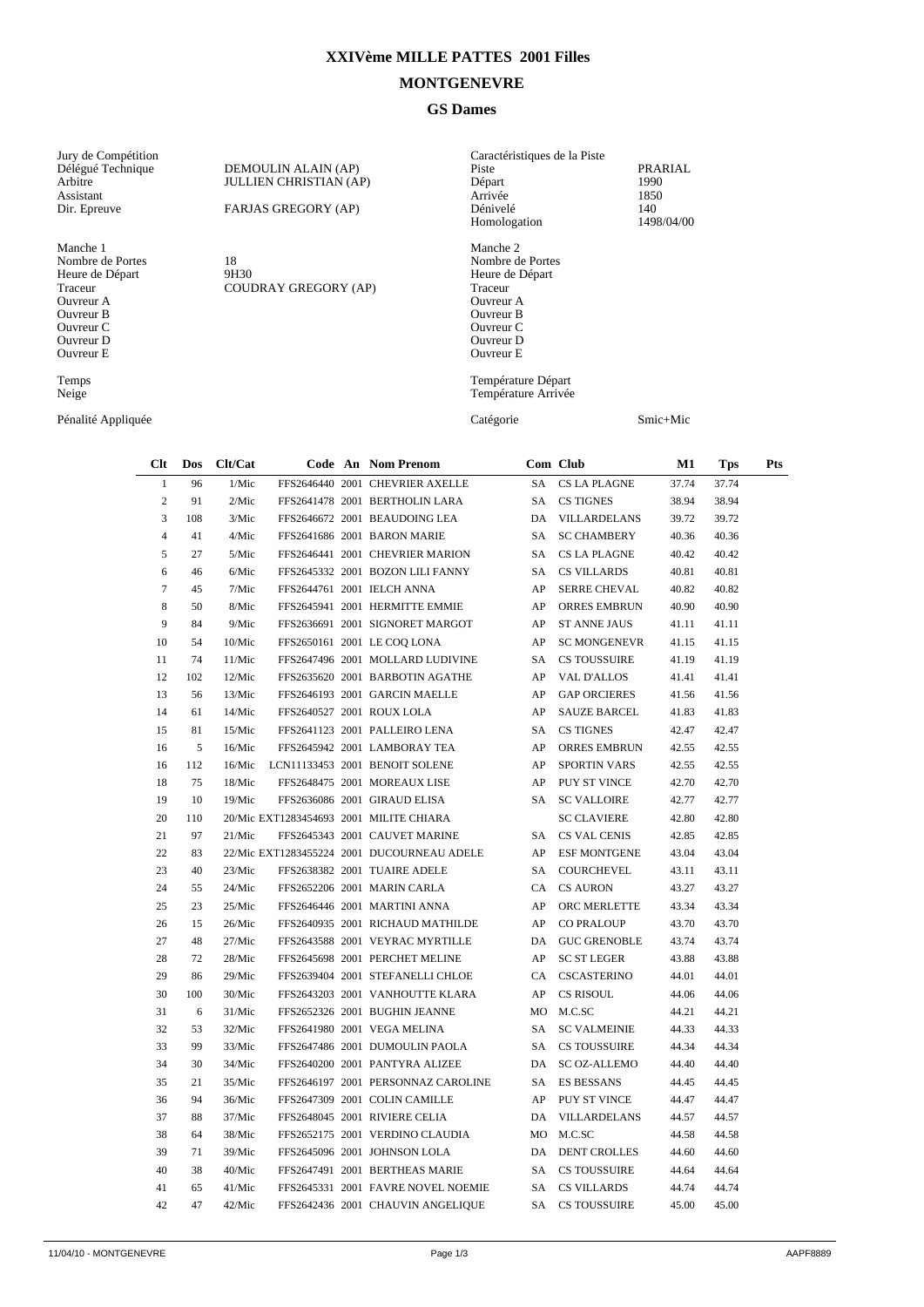## **XXIVème MILLE PATTES 2001 Filles**

## **MONTGENEVRE**

## **GS Dames**

| Jury de Compétition<br>Délégué Technique<br>Arbitre<br>Assistant<br>Dir. Epreuve<br>Manche 1<br>Nombre de Portes<br>Heure de Départ<br>Traceur<br>Ouvreur A<br>Ouvreur B<br>Ouvreur C<br>Ouvreur D<br>Ouvreur E<br>Temps<br>Neige |                |     | DEMOULIN ALAIN (AP)<br><b>JULLIEN CHRISTIAN (AP)</b><br>FARJAS GREGORY (AP) |                      | Caractéristiques de la Piste<br>Piste<br>Départ<br>Arrivée<br>Dénivelé<br>Homologation |                                            |                                                                                                                             | PRARIAL<br>1990<br>1850<br>140<br>1498/04/00 |                     |          |            |            |
|-----------------------------------------------------------------------------------------------------------------------------------------------------------------------------------------------------------------------------------|----------------|-----|-----------------------------------------------------------------------------|----------------------|----------------------------------------------------------------------------------------|--------------------------------------------|-----------------------------------------------------------------------------------------------------------------------------|----------------------------------------------|---------------------|----------|------------|------------|
|                                                                                                                                                                                                                                   |                |     | 18<br>9H30                                                                  | COUDRAY GREGORY (AP) |                                                                                        |                                            | Manche 2<br>Nombre de Portes<br>Heure de Départ<br>Traceur<br>Ouvreur A<br>Ouvreur B<br>Ouvreur C<br>Ouvreur D<br>Ouvreur E |                                              |                     |          |            |            |
|                                                                                                                                                                                                                                   |                |     |                                                                             |                      |                                                                                        |                                            | Température Départ<br>Température Arrivée                                                                                   |                                              |                     |          |            |            |
| Pénalité Appliquée                                                                                                                                                                                                                |                |     |                                                                             |                      |                                                                                        |                                            | Catégorie                                                                                                                   |                                              |                     | Smic+Mic |            |            |
|                                                                                                                                                                                                                                   | $Cl$ t         | Dos | Clt/Cat                                                                     |                      |                                                                                        | Code An Nom Prenom                         |                                                                                                                             |                                              | Com Club            | M1       | <b>Tps</b> | <b>Pts</b> |
|                                                                                                                                                                                                                                   | $\mathbf{1}$   | 96  | 1/Mic                                                                       |                      |                                                                                        | FFS2646440 2001 CHEVRIER AXELLE            |                                                                                                                             | SA                                           | <b>CS LA PLAGNE</b> | 37.74    | 37.74      |            |
|                                                                                                                                                                                                                                   | $\overline{c}$ | 91  | 2/Mic                                                                       |                      |                                                                                        | FFS2641478 2001 BERTHOLIN LARA             |                                                                                                                             | SA                                           | <b>CS TIGNES</b>    | 38.94    | 38.94      |            |
|                                                                                                                                                                                                                                   | 3              | 108 | 3/Mic                                                                       |                      |                                                                                        | FFS2646672 2001 BEAUDOING LEA              |                                                                                                                             | DA                                           | VILLARDELANS        | 39.72    | 39.72      |            |
|                                                                                                                                                                                                                                   | 4              | 41  | 4/Mic                                                                       |                      |                                                                                        | FFS2641686 2001 BARON MARIE                |                                                                                                                             | SA                                           | <b>SC CHAMBERY</b>  | 40.36    | 40.36      |            |
|                                                                                                                                                                                                                                   | 5              | 27  | 5/Mic                                                                       |                      |                                                                                        | FFS2646441 2001 CHEVRIER MARION            |                                                                                                                             | SA                                           | <b>CS LA PLAGNE</b> | 40.42    | 40.42      |            |
|                                                                                                                                                                                                                                   | 6              | 46  | 6/Mic                                                                       |                      |                                                                                        | FFS2645332 2001 BOZON LILI FANNY           |                                                                                                                             | SA                                           | <b>CS VILLARDS</b>  | 40.81    | 40.81      |            |
|                                                                                                                                                                                                                                   | 7              | 45  | 7/Mic                                                                       |                      |                                                                                        | FFS2644761 2001 IELCH ANNA                 |                                                                                                                             | AP                                           | <b>SERRE CHEVAL</b> | 40.82    | 40.82      |            |
|                                                                                                                                                                                                                                   | 8              | 50  | 8/Mic                                                                       |                      |                                                                                        | FFS2645941 2001 HERMITTE EMMIE             |                                                                                                                             | AP                                           | ORRES EMBRUN        | 40.90    | 40.90      |            |
|                                                                                                                                                                                                                                   | 9              | 84  | 9/Mic                                                                       |                      |                                                                                        | FFS2636691 2001 SIGNORET MARGOT            | AP                                                                                                                          |                                              | <b>ST ANNE JAUS</b> | 41.11    | 41.11      |            |
|                                                                                                                                                                                                                                   | 10             | 54  | 10/Mic                                                                      |                      |                                                                                        | FFS2650161 2001 LE COQ LONA                | AP                                                                                                                          |                                              | <b>SC MONGENEVR</b> | 41.15    | 41.15      |            |
|                                                                                                                                                                                                                                   | 11             | 74  | 11/Mic                                                                      |                      |                                                                                        | FFS2647496 2001 MOLLARD LUDIVINE           |                                                                                                                             | SA                                           | <b>CS TOUSSUIRE</b> | 41.19    | 41.19      |            |
|                                                                                                                                                                                                                                   | 12             | 102 | 12/Mic                                                                      |                      |                                                                                        | FFS2635620 2001 BARBOTIN AGATHE            | AP                                                                                                                          |                                              | <b>VAL D'ALLOS</b>  | 41.41    | 41.41      |            |
|                                                                                                                                                                                                                                   | 13             | 56  | 13/Mic                                                                      |                      |                                                                                        | FFS2646193 2001 GARCIN MAELLE              | AP                                                                                                                          |                                              | <b>GAP ORCIERES</b> | 41.56    | 41.56      |            |
|                                                                                                                                                                                                                                   | 14             | 61  | 14/Mic                                                                      |                      |                                                                                        | FFS2640527 2001 ROUX LOLA                  |                                                                                                                             | AP                                           | <b>SAUZE BARCEL</b> | 41.83    | 41.83      |            |
|                                                                                                                                                                                                                                   | 15             | 81  | 15/Mic                                                                      |                      |                                                                                        | FFS2641123 2001 PALLEIRO LENA              |                                                                                                                             | SA                                           | <b>CS TIGNES</b>    | 42.47    | 42.47      |            |
|                                                                                                                                                                                                                                   | 16             | 5   | 16/Mic                                                                      |                      |                                                                                        | FFS2645942 2001 LAMBORAY TEA               |                                                                                                                             | AP                                           | <b>ORRES EMBRUN</b> | 42.55    | 42.55      |            |
|                                                                                                                                                                                                                                   | 16             | 112 | 16/Mic                                                                      |                      |                                                                                        | LCN11133453 2001 BENOIT SOLENE             | AP                                                                                                                          |                                              | <b>SPORTIN VARS</b> | 42.55    | 42.55      |            |
|                                                                                                                                                                                                                                   | 18             | 75  | 18/Mic                                                                      |                      |                                                                                        | FFS2648475 2001 MOREAUX LISE               | AP                                                                                                                          |                                              | PUY ST VINCE        | 42.70    | 42.70      |            |
|                                                                                                                                                                                                                                   | 19             | 10  | 19/Mic                                                                      |                      |                                                                                        | FFS2636086 2001 GIRAUD ELISA               |                                                                                                                             | SA                                           | <b>SC VALLOIRE</b>  | 42.77    | 42.77      |            |
|                                                                                                                                                                                                                                   | 20             | 110 |                                                                             |                      |                                                                                        | 20/Mic EXT1283454693 2001 MILITE CHIARA    |                                                                                                                             |                                              | <b>SC CLAVIERE</b>  | 42.80    | 42.80      |            |
|                                                                                                                                                                                                                                   | 21             | 97  | 21/Mic                                                                      |                      |                                                                                        | FFS2645343 2001 CAUVET MARINE              |                                                                                                                             | SA                                           | CS VAL CENIS        | 42.85    | 42.85      |            |
|                                                                                                                                                                                                                                   | 22             | 83  |                                                                             |                      |                                                                                        | 22/Mic EXT1283455224 2001 DUCOURNEAU ADELE |                                                                                                                             | AP                                           | <b>ESF MONTGENE</b> | 43.04    | 43.04      |            |
|                                                                                                                                                                                                                                   | 23             | 40  | 23/Mic                                                                      |                      |                                                                                        | FFS2638382 2001 TUAIRE ADELE               |                                                                                                                             | SA                                           | <b>COURCHEVEL</b>   | 43.11    | 43.11      |            |
|                                                                                                                                                                                                                                   | 24             | 55  | 24/Mic                                                                      |                      |                                                                                        | FFS2652206 2001 MARIN CARLA                |                                                                                                                             | CA                                           | <b>CS AURON</b>     | 43.27    | 43.27      |            |
|                                                                                                                                                                                                                                   | 25             | 23  | 25/Mic                                                                      |                      |                                                                                        | FFS2646446 2001 MARTINI ANNA               |                                                                                                                             | AP                                           | ORC MERLETTE        | 43.34    | 43.34      |            |
|                                                                                                                                                                                                                                   | 26             | 15  | 26/Mic                                                                      |                      |                                                                                        | FFS2640935 2001 RICHAUD MATHILDE           |                                                                                                                             | AP                                           | CO PRALOUP          | 43.70    | 43.70      |            |
|                                                                                                                                                                                                                                   | 27             | 48  | 27/Mic                                                                      |                      |                                                                                        | FFS2643588 2001 VEYRAC MYRTILLE            |                                                                                                                             | DA                                           | <b>GUC GRENOBLE</b> | 43.74    | 43.74      |            |

 72 28/Mic FFS2645698 2001 PERCHET MELINE AP SC ST LEGER 43.88 43.88 86 29/Mic FFS2639404 2001 STEFANELLI CHLOE CA CSCASTERINO 44.01 44.01 100 30/Mic FFS2643203 2001 VANHOUTTE KLARA AP CS RISOUL 44.06 44.06 6 31/Mic FFS2652326 2001 BUGHIN JEANNE MO M.C.SC 44.21 44.21 53 32/Mic FFS2641980 2001 VEGA MELINA SA SC VALMEINIE 44.33 44.33 99 33/Mic FFS2647486 2001 DUMOULIN PAOLA SA CS TOUSSUIRE 44.34 44.34 30 34/Mic FFS2640200 2001 PANTYRA ALIZEE DA SC OZ-ALLEMO 44.40 44.40 21 35/Mic FFS2646197 2001 PERSONNAZ CAROLINE SA ES BESSANS 44.45 44.45 36 94 36/Mic FFS2647309 2001 COLIN CAMILLE AP PUY ST VINCE 44.47 44.47 88 37/Mic FFS2648045 2001 RIVIERE CELIA DA VILLARDELANS 44.57 44.57 64 38/Mic FFS2652175 2001 VERDINO CLAUDIA MO M.C.SC 44.58 44.58 71 39/Mic FFS2645096 2001 JOHNSON LOLA DA DENT CROLLES 44.60 44.60 38 40/Mic FFS2647491 2001 BERTHEAS MARIE SA CS TOUSSUIRE 44.64 44.64 65 41/Mic FFS2645331 2001 FAVRE NOVEL NOEMIE SA CS VILLARDS 44.74 44.74 47 42/Mic FFS2642436 2001 CHAUVIN ANGELIQUE SA CS TOUSSUIRE 45.00 45.00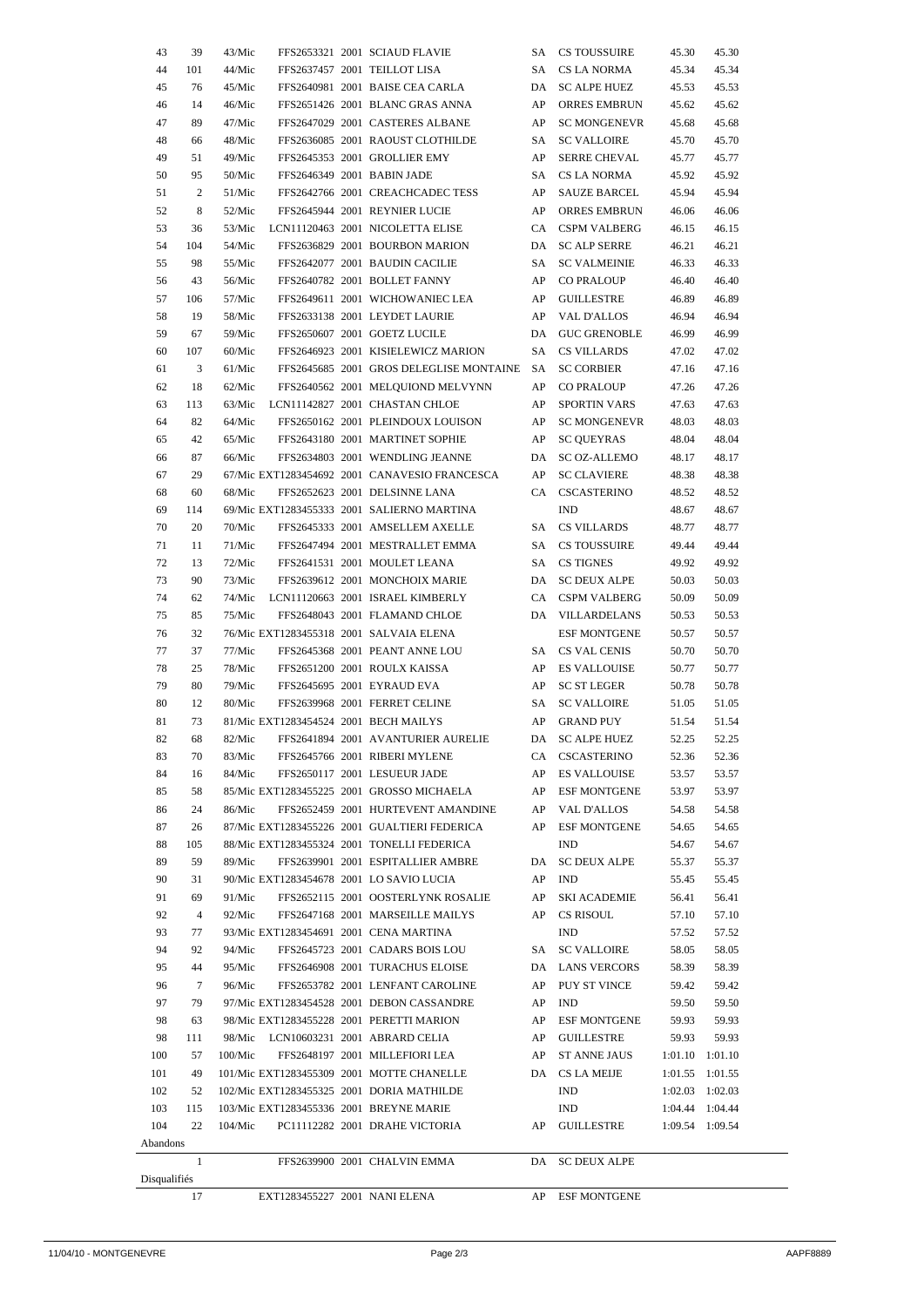| 43           | 39              | 43/Mic  |                                       | FFS2653321 2001 SCIAUD FLAVIE                 | SA   | CS TOUSSUIRE        | 45.30               | 45.30 |
|--------------|-----------------|---------|---------------------------------------|-----------------------------------------------|------|---------------------|---------------------|-------|
| 44           | 101             | 44/Mic  |                                       | FFS2637457 2001 TEILLOT LISA                  | SA   | CS LA NORMA         | 45.34               | 45.34 |
| 45           | 76              | 45/Mic  |                                       | FFS2640981 2001 BAISE CEA CARLA               | DA   | SC ALPE HUEZ        | 45.53               | 45.53 |
| 46           | 14              | 46/Mic  |                                       | FFS2651426 2001 BLANC GRAS ANNA               | AP   | ORRES EMBRUN        | 45.62               | 45.62 |
| 47           | 89              | 47/Mic  |                                       | FFS2647029 2001 CASTERES ALBANE               | AP   | <b>SC MONGENEVR</b> | 45.68               | 45.68 |
| 48           | 66              | 48/Mic  |                                       | FFS2636085 2001 RAOUST CLOTHILDE              | SA   | <b>SC VALLOIRE</b>  | 45.70               | 45.70 |
| 49           | 51              | 49/Mic  |                                       | FFS2645353 2001 GROLLIER EMY                  | AP   | <b>SERRE CHEVAL</b> | 45.77               | 45.77 |
| 50           | 95              | 50/Mic  |                                       | FFS2646349 2001 BABIN JADE                    | SA   | CS LA NORMA         | 45.92               | 45.92 |
| 51           | 2               | 51/Mic  |                                       | FFS2642766 2001 CREACHCADEC TESS              | AP   | SAUZE BARCEL        | 45.94               | 45.94 |
| 52           | 8               | 52/Mic  |                                       | FFS2645944 2001 REYNIER LUCIE                 | AP   | ORRES EMBRUN        | 46.06               | 46.06 |
| 53           | 36              | 53/Mic  |                                       | LCN11120463 2001 NICOLETTA ELISE              |      | CA CSPM VALBERG     | 46.15               | 46.15 |
| 54           | 104             | 54/Mic  |                                       | FFS2636829 2001 BOURBON MARION                |      | DA SC ALP SERRE     | 46.21               | 46.21 |
| 55           | 98              | 55/Mic  |                                       | FFS2642077 2001 BAUDIN CACILIE                | SA - | <b>SC VALMEINIE</b> | 46.33               | 46.33 |
| 56           | 43              | 56/Mic  |                                       | FFS2640782 2001 BOLLET FANNY                  | AP   | <b>CO PRALOUP</b>   | 46.40               | 46.40 |
| 57           | 106             | 57/Mic  |                                       | FFS2649611 2001 WICHOWANIEC LEA               | AP   | GUILLESTRE          | 46.89               | 46.89 |
| 58           | 19              | 58/Mic  |                                       | FFS2633138 2001 LEYDET LAURIE                 | AP   | VAL D'ALLOS         | 46.94               | 46.94 |
| 59           | 67              | 59/Mic  |                                       | FFS2650607 2001 GOETZ LUCILE                  | DA   | <b>GUC GRENOBLE</b> | 46.99               | 46.99 |
| 60           | 107             | 60/Mic  |                                       | FFS2646923 2001 KISIELEWICZ MARION            | SA   | <b>CS VILLARDS</b>  | 47.02               | 47.02 |
| 61           | 3               | 61/Mic  |                                       | FFS2645685 2001 GROS DELEGLISE MONTAINE SA    |      | <b>SC CORBIER</b>   | 47.16               | 47.16 |
| 62           | 18              | 62/Mic  |                                       | FFS2640562 2001 MELQUIOND MELVYNN             | AP   | <b>CO PRALOUP</b>   | 47.26               | 47.26 |
| 63           | 113             | 63/Mic  |                                       | LCN11142827 2001 CHASTAN CHLOE                | AP   | SPORTIN VARS        | 47.63               | 47.63 |
| 64           | 82              | 64/Mic  |                                       | FFS2650162 2001 PLEINDOUX LOUISON             | AP   | <b>SC MONGENEVR</b> | 48.03               | 48.03 |
| 65           | 42              | 65/Mic  |                                       | FFS2643180 2001 MARTINET SOPHIE               | AP   | <b>SC QUEYRAS</b>   | 48.04               | 48.04 |
| 66           | 87              | 66/Mic  |                                       | FFS2634803 2001 WENDLING JEANNE               | DA   | SC OZ-ALLEMO        | 48.17               | 48.17 |
| 67           | 29              |         |                                       | 67/Mic EXT1283454692 2001 CANAVESIO FRANCESCA | AP   | <b>SC CLAVIERE</b>  | 48.38               | 48.38 |
| 68           | 60              | 68/Mic  |                                       | FFS2652623 2001 DELSINNE LANA                 |      | CA CSCASTERINO      | 48.52               | 48.52 |
| 69           | 114             |         |                                       | 69/Mic EXT1283455333 2001 SALIERNO MARTINA    |      | IND                 | 48.67               | 48.67 |
| 70           | 20              | 70/Mic  |                                       | FFS2645333 2001 AMSELLEM AXELLE               |      | SA CS VILLARDS      | 48.77               | 48.77 |
| 71           | 11              | 71/Mic  |                                       | FFS2647494 2001 MESTRALLET EMMA               |      | SA CS TOUSSUIRE     | 49.44               | 49.44 |
| 72           | 13              | 72/Mic  |                                       | FFS2641531 2001 MOULET LEANA                  |      | SA CS TIGNES        | 49.92               | 49.92 |
| 73           | 90              | 73/Mic  |                                       | FFS2639612 2001 MONCHOIX MARIE                |      | DA SC DEUX ALPE     | 50.03               | 50.03 |
| 74           | 62              | 74/Mic  |                                       | LCN11120663 2001 ISRAEL KIMBERLY              |      | CA CSPM VALBERG     | 50.09               | 50.09 |
| 75           | 85              | 75/Mic  |                                       | FFS2648043 2001 FLAMAND CHLOE                 |      | DA VILLARDELANS     | 50.53               | 50.53 |
| 76           | 32              |         |                                       | 76/Mic EXT1283455318 2001 SALVAIA ELENA       |      | <b>ESF MONTGENE</b> | 50.57               | 50.57 |
| 77           | 37              | 77/Mic  |                                       | FFS2645368 2001 PEANT ANNE LOU                |      | SA CS VAL CENIS     | 50.70               | 50.70 |
| 78           | 25              | 78/Mic  |                                       | FFS2651200 2001 ROULX KAISSA                  | AP   | ES VALLOUISE        | 50.77               | 50.77 |
| 79           | 80              | 79/Mic  |                                       | FFS2645695 2001 EYRAUD EVA                    | AP   | SC ST LEGER         | 50.78               | 50.78 |
| 80           | 12              | 80/Mic  |                                       | FFS2639968 2001 FERRET CELINE                 | SA - | <b>SC VALLOIRE</b>  | 51.05               | 51.05 |
| 81           | 73              |         | 81/Mic EXT1283454524 2001 BECH MAILYS |                                               | AP   | GRAND PUY           | 51.54               | 51.54 |
| 82           | 68              | 82/Mic  |                                       | FFS2641894 2001 AVANTURIER AURELIE            |      | DA SC ALPE HUEZ     | 52.25               | 52.25 |
| 83           | 70              | 83/Mic  |                                       | FFS2645766 2001 RIBERI MYLENE                 |      | CA CSCASTERINO      | 52.36               | 52.36 |
| 84           | 16              | 84/Mic  |                                       | FFS2650117 2001 LESUEUR JADE                  |      | AP ES VALLOUISE     | 53.57               | 53.57 |
| 85           | 58              |         |                                       | 85/Mic EXT1283455225 2001 GROSSO MICHAELA     |      | AP ESF MONTGENE     | 53.97               | 53.97 |
| 86           | 24              | 86/Mic  |                                       | FFS2652459 2001 HURTEVENT AMANDINE            |      | AP VAL D'ALLOS      | 54.58               | 54.58 |
| 87           | 26              |         |                                       | 87/Mic EXT1283455226 2001 GUALTIERI FEDERICA  |      | AP ESF MONTGENE     | 54.65               | 54.65 |
| 88           | 105             |         |                                       | 88/Mic EXT1283455324 2001 TONELLI FEDERICA    |      | IND                 | 54.67               | 54.67 |
| 89           | 59              | 89/Mic  |                                       | FFS2639901 2001 ESPITALLIER AMBRE             |      | DA SC DEUX ALPE     | 55.37               | 55.37 |
| 90           | 31              |         |                                       | 90/Mic EXT1283454678 2001 LO SAVIO LUCIA      |      | AP IND              | 55.45               | 55.45 |
| 91           | 69              | 91/Mic  |                                       | FFS2652115 2001 OOSTERLYNK ROSALIE            |      | AP SKI ACADEMIE     | 56.41               | 56.41 |
| 92           | $\overline{4}$  | 92/Mic  |                                       | FFS2647168 2001 MARSEILLE MAILYS              |      | AP CS RISOUL        | 57.10               | 57.10 |
| 93           | 77              |         |                                       | 93/Mic EXT1283454691 2001 CENA MARTINA        |      | <b>IND</b>          | 57.52               | 57.52 |
| 94           | 92              | 94/Mic  |                                       | FFS2645723 2001 CADARS BOIS LOU               |      | SA SC VALLOIRE      | 58.05               | 58.05 |
| 95           | 44              |         |                                       | 95/Mic FFS2646908 2001 TURACHUS ELOISE        |      | DA LANS VERCORS     | 58.39               | 58.39 |
| 96           | $7\phantom{.0}$ | 96/Mic  |                                       | FFS2653782 2001 LENFANT CAROLINE              |      | AP PUY ST VINCE     | 59.42               | 59.42 |
| 97           | 79              |         |                                       | 97/Mic EXT1283454528 2001 DEBON CASSANDRE     |      | AP IND              | 59.50               | 59.50 |
| 98           | 63              |         |                                       | 98/Mic EXT1283455228 2001 PERETTI MARION      |      | AP ESF MONTGENE     | 59.93               | 59.93 |
| 98           | 111             |         |                                       | 98/Mic LCN10603231 2001 ABRARD CELIA          |      | AP GUILLESTRE       | 59.93               | 59.93 |
| 100          | 57              | 100/Mic |                                       | FFS2648197 2001 MILLEFIORI LEA                |      | AP ST ANNE JAUS     | $1:01.10$ $1:01.10$ |       |
| 101          | 49              |         |                                       | 101/Mic EXT1283455309 2001 MOTTE CHANELLE     |      | DA CS LA MEIJE      | $1:01.55$ $1:01.55$ |       |
| 102          | 52              |         |                                       | 102/Mic EXT1283455325 2001 DORIA MATHILDE     |      | IND                 | $1:02.03$ $1:02.03$ |       |
| 103          | 115             |         |                                       | 103/Mic EXT1283455336 2001 BREYNE MARIE       |      | IND                 | 1:04.44 1:04.44     |       |
| 104          | 22              | 104/Mic |                                       | PC11112282 2001 DRAHE VICTORIA                |      | AP GUILLESTRE       | 1:09.54 1:09.54     |       |
| Abandons     |                 |         |                                       |                                               |      |                     |                     |       |
|              | 1               |         |                                       | FFS2639900 2001 CHALVIN EMMA                  |      | DA SC DEUX ALPE     |                     |       |
| Disqualifiés |                 |         |                                       |                                               |      |                     |                     |       |
|              | 17              |         | EXT1283455227 2001 NANI ELENA         |                                               | AP   | <b>ESF MONTGENE</b> |                     |       |

 $\overline{\phantom{0}}$